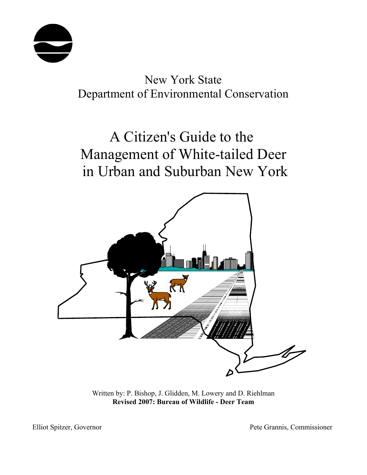

## New York State Department of Environmental Conservation

# A Citizen's Guide to the Management of White-tailed Deer in Urban and Suburban New York



Written by: P. Bishop, J. Glidden, M. Lowery and D. Riehlman **Revised 2007: Bureau of Wildlife - Deer Team**

Elliot Spitzer, Governor Pete Grannis, Commissioner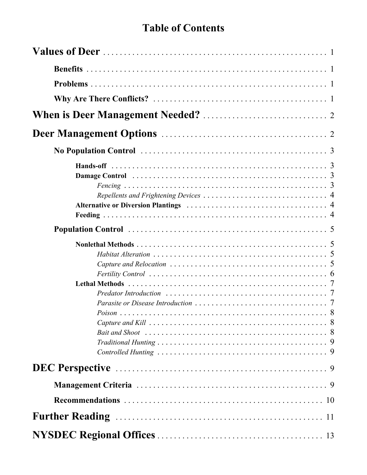## **Table of Contents**

| Habitat Alteration $\ldots \ldots \ldots \ldots \ldots \ldots \ldots \ldots \ldots \ldots \ldots$<br>Capture and Relocation $\ldots \ldots \ldots \ldots \ldots \ldots \ldots \ldots \ldots \ldots \ldots 5$ |  |
|--------------------------------------------------------------------------------------------------------------------------------------------------------------------------------------------------------------|--|
| Poison                                                                                                                                                                                                       |  |
|                                                                                                                                                                                                              |  |
|                                                                                                                                                                                                              |  |
|                                                                                                                                                                                                              |  |
|                                                                                                                                                                                                              |  |
|                                                                                                                                                                                                              |  |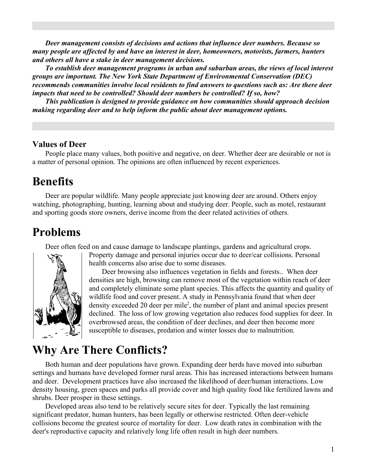*Deer management consists of decisions and actions that influence deer numbers. Because so many people are affected by and have an interest in deer, homeowners, motorists, farmers, hunters and others all have a stake in deer management decisions.*

*To establish deer management programs in urban and suburban areas, the views of local interest groups are important. The New York State Department of Environmental Conservation (DEC) recommends communities involve local residents to find answers to questions such as: Are there deer impacts that need to be controlled? Should deer numbers be controlled? If so, how?*

*This publication is designed to provide guidance on how communities should approach decision making regarding deer and to help inform the public about deer management options.*

### **Values of Deer**

People place many values, both positive and negative, on deer. Whether deer are desirable or not is a matter of personal opinion. The opinions are often influenced by recent experiences.

## **Benefits**

Deer are popular wildlife. Many people appreciate just knowing deer are around. Others enjoy watching, photographing, hunting, learning about and studying deer. People, such as motel, restaurant and sporting goods store owners, derive income from the deer related activities of others.

## **Problems**

Deer often feed on and cause damage to landscape plantings, gardens and agricultural crops.



Property damage and personal injuries occur due to deer/car collisions. Personal health concerns also arise due to some diseases.

Deer browsing also influences vegetation in fields and forests.. When deer densities are high, browsing can remove most of the vegetation within reach of deer and completely eliminate some plant species. This affects the quantity and quality of wildlife food and cover present. A study in Pennsylvania found that when deer density exceeded 20 deer per mile<sup>2</sup>, the number of plant and animal species present declined. The loss of low growing vegetation also reduces food supplies for deer. In overbrowsed areas, the condition of deer declines, and deer then become more susceptible to diseases, predation and winter losses due to malnutrition.

## **Why Are There Conflicts?**

Both human and deer populations have grown. Expanding deer herds have moved into suburban settings and humans have developed former rural areas. This has increased interactions between humans and deer. Development practices have also increased the likelihood of deer/human interactions. Low density housing, green spaces and parks all provide cover and high quality food like fertilized lawns and shrubs. Deer prosper in these settings.

Developed areas also tend to be relatively secure sites for deer. Typically the last remaining significant predator, human hunters, has been legally or otherwise restricted. Often deer-vehicle collisions become the greatest source of mortality for deer. Low death rates in combination with the deer's reproductive capacity and relatively long life often result in high deer numbers.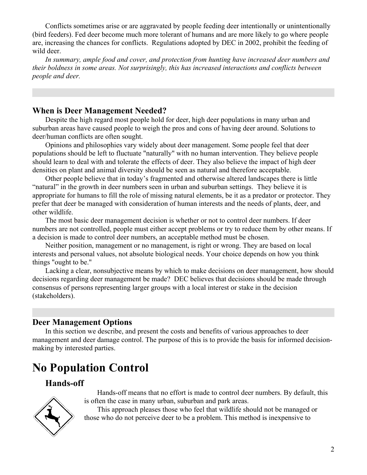Conflicts sometimes arise or are aggravated by people feeding deer intentionally or unintentionally (bird feeders). Fed deer become much more tolerant of humans and are more likely to go where people are, increasing the chances for conflicts. Regulations adopted by DEC in 2002, prohibit the feeding of wild deer.

*In summary, ample food and cover, and protection from hunting have increased deer numbers and their boldness in some areas. Not surprisingly, this has increased interactions and conflicts between people and deer.*

### **When is Deer Management Needed?**

Despite the high regard most people hold for deer, high deer populations in many urban and suburban areas have caused people to weigh the pros and cons of having deer around. Solutions to deer/human conflicts are often sought.

Opinions and philosophies vary widely about deer management. Some people feel that deer populations should be left to fluctuate "naturally" with no human intervention. They believe people should learn to deal with and tolerate the effects of deer. They also believe the impact of high deer densities on plant and animal diversity should be seen as natural and therefore acceptable.

Other people believe that in today's fragmented and otherwise altered landscapes there is little "natural" in the growth in deer numbers seen in urban and suburban settings. They believe it is appropriate for humans to fill the role of missing natural elements, be it as a predator or protector. They prefer that deer be managed with consideration of human interests and the needs of plants, deer, and other wildlife.

The most basic deer management decision is whether or not to control deer numbers. If deer numbers are not controlled, people must either accept problems or try to reduce them by other means. If a decision is made to control deer numbers, an acceptable method must be chosen.

Neither position, management or no management, is right or wrong. They are based on local interests and personal values, not absolute biological needs. Your choice depends on how you think things "ought to be."

Lacking a clear, nonsubjective means by which to make decisions on deer management, how should decisions regarding deer management be made? DEC believes that decisions should be made through consensus of persons representing larger groups with a local interest or stake in the decision (stakeholders).

### **Deer Management Options**

In this section we describe, and present the costs and benefits of various approaches to deer management and deer damage control. The purpose of this is to provide the basis for informed decisionmaking by interested parties.

## **No Population Control**

## **Hands-off**



Hands-off means that no effort is made to control deer numbers. By default, this is often the case in many urban, suburban and park areas.

This approach pleases those who feel that wildlife should not be managed or those who do not perceive deer to be a problem. This method is inexpensive to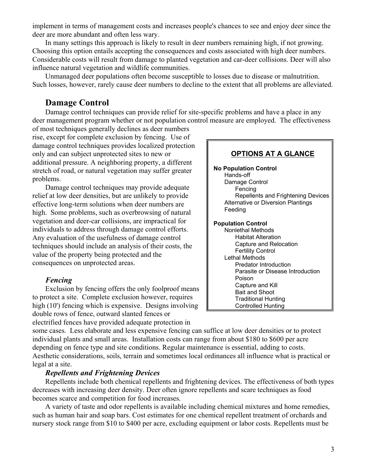implement in terms of management costs and increases people's chances to see and enjoy deer since the deer are more abundant and often less wary.

In many settings this approach is likely to result in deer numbers remaining high, if not growing. Choosing this option entails accepting the consequences and costs associated with high deer numbers. Considerable costs will result from damage to planted vegetation and car-deer collisions. Deer will also influence natural vegetation and wildlife communities.

Unmanaged deer populations often become susceptible to losses due to disease or malnutrition. Such losses, however, rarely cause deer numbers to decline to the extent that all problems are alleviated.

## **Damage Control**

Damage control techniques can provide relief for site-specific problems and have a place in any deer management program whether or not population control measure are employed. The effectiveness

of most techniques generally declines as deer numbers rise, except for complete exclusion by fencing. Use of damage control techniques provides localized protection only and can subject unprotected sites to new or additional pressure. A neighboring property, a different stretch of road, or natural vegetation may suffer greater problems.

Damage control techniques may provide adequate relief at low deer densities, but are unlikely to provide effective long-term solutions when deer numbers are high. Some problems, such as overbrowsing of natural vegetation and deer-car collisions, are impractical for individuals to address through damage control efforts. Any evaluation of the usefulness of damage control techniques should include an analysis of their costs, the value of the property being protected and the consequences on unprotected areas.

#### *Fencing*

Exclusion by fencing offers the only foolproof means to protect a site. Complete exclusion however, requires high (10') fencing which is expensive. Designs involving double rows of fence, outward slanted fences or electrified fences have provided adequate protection in

| <b>OPTIONS AT A GLANCE</b>                                                                                                                                                                                                                                                                                                         |
|------------------------------------------------------------------------------------------------------------------------------------------------------------------------------------------------------------------------------------------------------------------------------------------------------------------------------------|
| <b>No Population Control</b><br>Hands-off<br>Damage Control<br>Fencing<br><b>Repellents and Frightening Devices</b><br><b>Alternative or Diversion Plantings</b><br>Feeding                                                                                                                                                        |
| <b>Population Control</b><br><b>Nonlethal Methods</b><br><b>Habitat Alteration</b><br>Capture and Relocation<br><b>Fertility Control</b><br>Lethal Methods<br>Predator Introduction<br>Parasite or Disease Introduction<br>Poison<br>Capture and Kill<br><b>Bait and Shoot</b><br>Traditional Hunting<br><b>Controlled Hunting</b> |

some cases. Less elaborate and less expensive fencing can suffice at low deer densities or to protect individual plants and small areas. Installation costs can range from about \$180 to \$600 per acre depending on fence type and site conditions. Regular maintenance is essential, adding to costs. Aesthetic considerations, soils, terrain and sometimes local ordinances all influence what is practical or legal at a site.

#### *Repellents and Frightening Devices*

Repellents include both chemical repellents and frightening devices. The effectiveness of both types decreases with increasing deer density. Deer often ignore repellents and scare techniques as food becomes scarce and competition for food increases.

A variety of taste and odor repellents is available including chemical mixtures and home remedies, such as human hair and soap bars. Cost estimates for one chemical repellent treatment of orchards and nursery stock range from \$10 to \$400 per acre, excluding equipment or labor costs. Repellents must be

1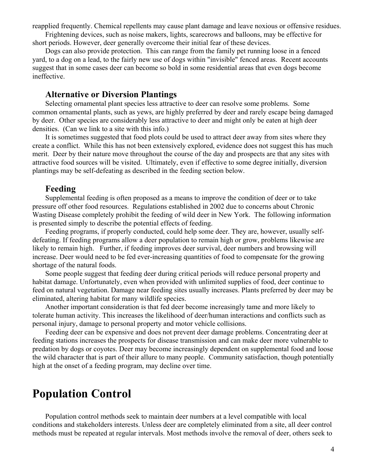reapplied frequently. Chemical repellents may cause plant damage and leave noxious or offensive residues.

Frightening devices, such as noise makers, lights, scarecrows and balloons, may be effective for short periods. However, deer generally overcome their initial fear of these devices.

Dogs can also provide protection. This can range from the family pet running loose in a fenced yard, to a dog on a lead, to the fairly new use of dogs within "invisible" fenced areas. Recent accounts suggest that in some cases deer can become so bold in some residential areas that even dogs become ineffective.

### **Alternative or Diversion Plantings**

Selecting ornamental plant species less attractive to deer can resolve some problems. Some common ornamental plants, such as yews, are highly preferred by deer and rarely escape being damaged by deer. Other species are considerably less attractive to deer and might only be eaten at high deer densities. (Can we link to a site with this info.)

It is sometimes suggested that food plots could be used to attract deer away from sites where they create a conflict. While this has not been extensively explored, evidence does not suggest this has much merit. Deer by their nature move throughout the course of the day and prospects are that any sites with attractive food sources will be visited. Ultimately, even if effective to some degree initially, diversion plantings may be self-defeating as described in the feeding section below.

#### **Feeding**

Supplemental feeding is often proposed as a means to improve the condition of deer or to take pressure off other food resources. Regulations established in 2002 due to concerns about Chronic Wasting Disease completely prohibit the feeding of wild deer in New York. The following information is presented simply to describe the potential effects of feeding.

Feeding programs, if properly conducted, could help some deer. They are, however, usually selfdefeating. If feeding programs allow a deer population to remain high or grow, problems likewise are likely to remain high. Further, if feeding improves deer survival, deer numbers and browsing will increase. Deer would need to be fed ever-increasing quantities of food to compensate for the growing shortage of the natural foods.

Some people suggest that feeding deer during critical periods will reduce personal property and habitat damage. Unfortunately, even when provided with unlimited supplies of food, deer continue to feed on natural vegetation. Damage near feeding sites usually increases. Plants preferred by deer may be eliminated, altering habitat for many wildlife species.

Another important consideration is that fed deer become increasingly tame and more likely to tolerate human activity. This increases the likelihood of deer/human interactions and conflicts such as personal injury, damage to personal property and motor vehicle collisions.

Feeding deer can be expensive and does not prevent deer damage problems. Concentrating deer at feeding stations increases the prospects for disease transmission and can make deer more vulnerable to predation by dogs or coyotes. Deer may become increasingly dependent on supplemental food and loose the wild character that is part of their allure to many people. Community satisfaction, though potentially high at the onset of a feeding program, may decline over time.

## **Population Control**

Population control methods seek to maintain deer numbers at a level compatible with local conditions and stakeholders interests. Unless deer are completely eliminated from a site, all deer control methods must be repeated at regular intervals. Most methods involve the removal of deer, others seek to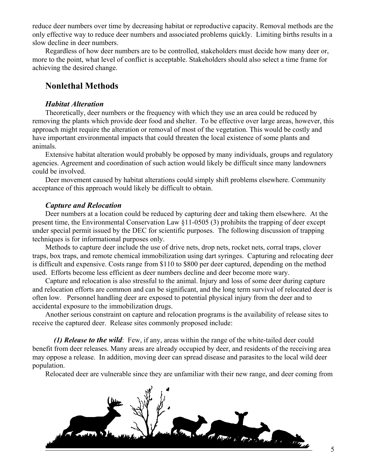reduce deer numbers over time by decreasing habitat or reproductive capacity. Removal methods are the only effective way to reduce deer numbers and associated problems quickly. Limiting births results in a slow decline in deer numbers.

Regardless of how deer numbers are to be controlled, stakeholders must decide how many deer or, more to the point, what level of conflict is acceptable. Stakeholders should also select a time frame for achieving the desired change.

### **Nonlethal Methods**

#### *Habitat Alteration*

Theoretically, deer numbers or the frequency with which they use an area could be reduced by removing the plants which provide deer food and shelter. To be effective over large areas, however, this approach might require the alteration or removal of most of the vegetation. This would be costly and have important environmental impacts that could threaten the local existence of some plants and animals.

Extensive habitat alteration would probably be opposed by many individuals, groups and regulatory agencies. Agreement and coordination of such action would likely be difficult since many landowners could be involved.

Deer movement caused by habitat alterations could simply shift problems elsewhere. Community acceptance of this approach would likely be difficult to obtain.

#### *Capture and Relocation*

Deer numbers at a location could be reduced by capturing deer and taking them elsewhere. At the present time, the Environmental Conservation Law §11-0505 (3) prohibits the trapping of deer except under special permit issued by the DEC for scientific purposes. The following discussion of trapping techniques is for informational purposes only.

Methods to capture deer include the use of drive nets, drop nets, rocket nets, corral traps, clover traps, box traps, and remote chemical immobilization using dart syringes. Capturing and relocating deer is difficult and expensive. Costs range from \$110 to \$800 per deer captured, depending on the method used. Efforts become less efficient as deer numbers decline and deer become more wary.

Capture and relocation is also stressful to the animal. Injury and loss of some deer during capture and relocation efforts are common and can be significant, and the long term survival of relocated deer is often low. Personnel handling deer are exposed to potential physical injury from the deer and to accidental exposure to the immobilization drugs.

Another serious constraint on capture and relocation programs is the availability of release sites to receive the captured deer. Release sites commonly proposed include:

*(1) Release to the wild*: Few, if any, areas within the range of the white-tailed deer could benefit from deer releases. Many areas are already occupied by deer, and residents of the receiving area may oppose a release. In addition, moving deer can spread disease and parasites to the local wild deer population.

Relocated deer are vulnerable since they are unfamiliar with their new range, and deer coming from

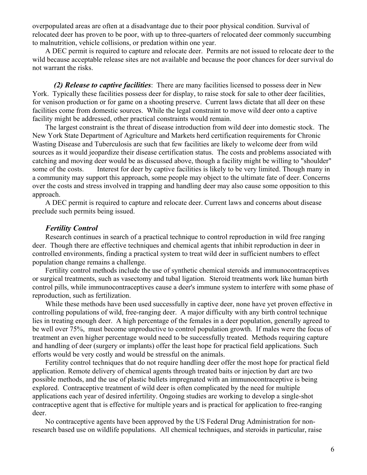overpopulated areas are often at a disadvantage due to their poor physical condition. Survival of relocated deer has proven to be poor, with up to three-quarters of relocated deer commonly succumbing to malnutrition, vehicle collisions, or predation within one year.

A DEC permit is required to capture and relocate deer. Permits are not issued to relocate deer to the wild because acceptable release sites are not available and because the poor chances for deer survival do not warrant the risks.

*(2) Release to captive facilities*: There are many facilities licensed to possess deer in New York. Typically these facilities possess deer for display, to raise stock for sale to other deer facilities, for venison production or for game on a shooting preserve. Current laws dictate that all deer on these facilities come from domestic sources. While the legal constraint to move wild deer onto a captive facility might be addressed, other practical constraints would remain.

The largest constraint is the threat of disease introduction from wild deer into domestic stock. The New York State Department of Agriculture and Markets herd certification requirements for Chronic Wasting Disease and Tuberculosis are such that few facilities are likely to welcome deer from wild sources as it would jeopardize their disease certification status. The costs and problems associated with catching and moving deer would be as discussed above, though a facility might be willing to "shoulder" some of the costs. Interest for deer by captive facilities is likely to be very limited. Though many in a community may support this approach, some people may object to the ultimate fate of deer. Concerns over the costs and stress involved in trapping and handling deer may also cause some opposition to this approach.

A DEC permit is required to capture and relocate deer. Current laws and concerns about disease preclude such permits being issued.

#### *Fertility Control*

Research continues in search of a practical technique to control reproduction in wild free ranging deer. Though there are effective techniques and chemical agents that inhibit reproduction in deer in controlled environments, finding a practical system to treat wild deer in sufficient numbers to effect population change remains a challenge.

Fertility control methods include the use of synthetic chemical steroids and immunocontraceptives or surgical treatments, such as vasectomy and tubal ligation. Steroid treatments work like human birth control pills, while immunocontraceptives cause a deer's immune system to interfere with some phase of reproduction, such as fertilization.

While these methods have been used successfully in captive deer, none have yet proven effective in controlling populations of wild, free-ranging deer. A major difficulty with any birth control technique lies in treating enough deer. A high percentage of the females in a deer population, generally agreed to be well over 75%, must become unproductive to control population growth. If males were the focus of treatment an even higher percentage would need to be successfully treated. Methods requiring capture and handling of deer (surgery or implants) offer the least hope for practical field applications. Such efforts would be very costly and would be stressful on the animals.

Fertility control techniques that do not require handling deer offer the most hope for practical field application. Remote delivery of chemical agents through treated baits or injection by dart are two possible methods, and the use of plastic bullets impregnated with an immunocontraceptive is being explored. Contraceptive treatment of wild deer is often complicated by the need for multiple applications each year of desired infertility. Ongoing studies are working to develop a single-shot contraceptive agent that is effective for multiple years and is practical for application to free-ranging deer.

No contraceptive agents have been approved by the US Federal Drug Administration for nonresearch based use on wildlife populations. All chemical techniques, and steroids in particular, raise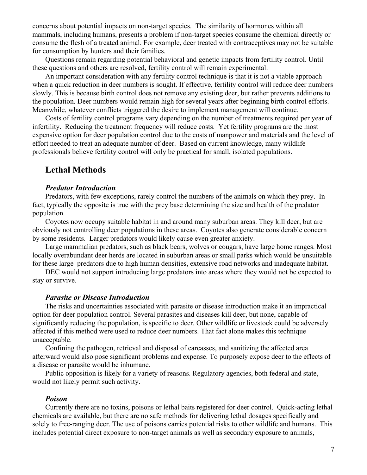concerns about potential impacts on non-target species. The similarity of hormones within all mammals, including humans, presents a problem if non-target species consume the chemical directly or consume the flesh of a treated animal. For example, deer treated with contraceptives may not be suitable for consumption by hunters and their families.

Questions remain regarding potential behavioral and genetic impacts from fertility control. Until these questions and others are resolved, fertility control will remain experimental.

An important consideration with any fertility control technique is that it is not a viable approach when a quick reduction in deer numbers is sought. If effective, fertility control will reduce deer numbers slowly. This is because birth control does not remove any existing deer, but rather prevents additions to the population. Deer numbers would remain high for several years after beginning birth control efforts. Meanwhile, whatever conflicts triggered the desire to implement management will continue.

Costs of fertility control programs vary depending on the number of treatments required per year of infertility. Reducing the treatment frequency will reduce costs. Yet fertility programs are the most expensive option for deer population control due to the costs of manpower and materials and the level of effort needed to treat an adequate number of deer. Based on current knowledge, many wildlife professionals believe fertility control will only be practical for small, isolated populations.

## **Lethal Methods**

#### *Predator Introduction*

Predators, with few exceptions, rarely control the numbers of the animals on which they prey. In fact, typically the opposite is true with the prey base determining the size and health of the predator population.

Coyotes now occupy suitable habitat in and around many suburban areas. They kill deer, but are obviously not controlling deer populations in these areas. Coyotes also generate considerable concern by some residents. Larger predators would likely cause even greater anxiety.

Large mammalian predators, such as black bears, wolves or cougars, have large home ranges. Most locally overabundant deer herds are located in suburban areas or small parks which would be unsuitable for these large predators due to high human densities, extensive road networks and inadequate habitat.

DEC would not support introducing large predators into areas where they would not be expected to stay or survive.

#### *Parasite or Disease Introduction*

The risks and uncertainties associated with parasite or disease introduction make it an impractical option for deer population control. Several parasites and diseases kill deer, but none, capable of significantly reducing the population, is specific to deer. Other wildlife or livestock could be adversely affected if this method were used to reduce deer numbers. That fact alone makes this technique unacceptable.

Confining the pathogen, retrieval and disposal of carcasses, and sanitizing the affected area afterward would also pose significant problems and expense. To purposely expose deer to the effects of a disease or parasite would be inhumane.

Public opposition is likely for a variety of reasons. Regulatory agencies, both federal and state, would not likely permit such activity.

#### *Poison*

Currently there are no toxins, poisons or lethal baits registered for deer control. Quick-acting lethal chemicals are available, but there are no safe methods for delivering lethal dosages specifically and solely to free-ranging deer. The use of poisons carries potential risks to other wildlife and humans. This includes potential direct exposure to non-target animals as well as secondary exposure to animals,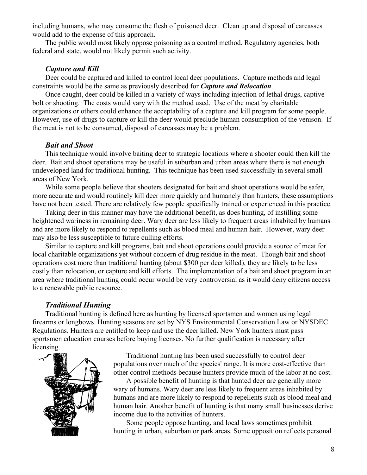including humans, who may consume the flesh of poisoned deer. Clean up and disposal of carcasses would add to the expense of this approach.

The public would most likely oppose poisoning as a control method. Regulatory agencies, both federal and state, would not likely permit such activity.

#### *Capture and Kill*

Deer could be captured and killed to control local deer populations. Capture methods and legal constraints would be the same as previously described for *Capture and Relocation*.

Once caught, deer could be killed in a variety of ways including injection of lethal drugs, captive bolt or shooting. The costs would vary with the method used. Use of the meat by charitable organizations or others could enhance the acceptability of a capture and kill program for some people. However, use of drugs to capture or kill the deer would preclude human consumption of the venison. If the meat is not to be consumed, disposal of carcasses may be a problem.

#### *Bait and Shoot*

This technique would involve baiting deer to strategic locations where a shooter could then kill the deer. Bait and shoot operations may be useful in suburban and urban areas where there is not enough undeveloped land for traditional hunting. This technique has been used successfully in several small areas of New York.

While some people believe that shooters designated for bait and shoot operations would be safer, more accurate and would routinely kill deer more quickly and humanely than hunters, these assumptions have not been tested. There are relatively few people specifically trained or experienced in this practice.

Taking deer in this manner may have the additional benefit, as does hunting, of instilling some heightened wariness in remaining deer. Wary deer are less likely to frequent areas inhabited by humans and are more likely to respond to repellents such as blood meal and human hair. However, wary deer may also be less susceptible to future culling efforts.

Similar to capture and kill programs, bait and shoot operations could provide a source of meat for local charitable organizations yet without concern of drug residue in the meat. Though bait and shoot operations cost more than traditional hunting (about \$300 per deer killed), they are likely to be less costly than relocation, or capture and kill efforts. The implementation of a bait and shoot program in an area where traditional hunting could occur would be very controversial as it would deny citizens access to a renewable public resource.

#### *Traditional Hunting*

Traditional hunting is defined here as hunting by licensed sportsmen and women using legal firearms or longbows. Hunting seasons are set by NYS Environmental Conservation Law or NYSDEC Regulations. Hunters are entitled to keep and use the deer killed. New York hunters must pass sportsmen education courses before buying licenses. No further qualification is necessary after licensing.



Traditional hunting has been used successfully to control deer populations over much of the species' range. It is more cost-effective than other control methods because hunters provide much of the labor at no cost.

A possible benefit of hunting is that hunted deer are generally more wary of humans. Wary deer are less likely to frequent areas inhabited by humans and are more likely to respond to repellents such as blood meal and human hair. Another benefit of hunting is that many small businesses derive income due to the activities of hunters.

Some people oppose hunting, and local laws sometimes prohibit hunting in urban, suburban or park areas. Some opposition reflects personal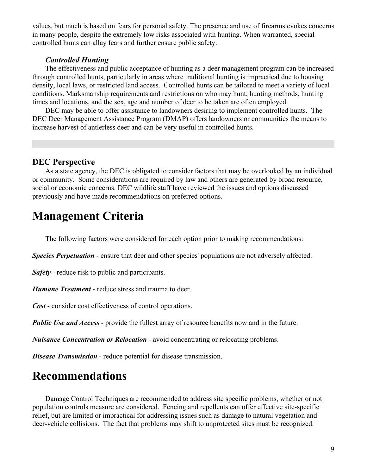values, but much is based on fears for personal safety. The presence and use of firearms evokes concerns in many people, despite the extremely low risks associated with hunting. When warranted, special controlled hunts can allay fears and further ensure public safety.

### *Controlled Hunting*

The effectiveness and public acceptance of hunting as a deer management program can be increased through controlled hunts, particularly in areas where traditional hunting is impractical due to housing density, local laws, or restricted land access. Controlled hunts can be tailored to meet a variety of local conditions. Marksmanship requirements and restrictions on who may hunt, hunting methods, hunting times and locations, and the sex, age and number of deer to be taken are often employed.

DEC may be able to offer assistance to landowners desiring to implement controlled hunts. The DEC Deer Management Assistance Program (DMAP) offers landowners or communities the means to increase harvest of antlerless deer and can be very useful in controlled hunts.

### **DEC Perspective**

As a state agency, the DEC is obligated to consider factors that may be overlooked by an individual or community. Some considerations are required by law and others are generated by broad resource, social or economic concerns. DEC wildlife staff have reviewed the issues and options discussed previously and have made recommendations on preferred options.

## **Management Criteria**

The following factors were considered for each option prior to making recommendations:

*Species Perpetuation* - ensure that deer and other species' populations are not adversely affected.

*Safety* - reduce risk to public and participants.

*Humane Treatment* - reduce stress and trauma to deer.

*Cost* - consider cost effectiveness of control operations.

*Public Use and Access* - provide the fullest array of resource benefits now and in the future.

*Nuisance Concentration or Relocation* - avoid concentrating or relocating problems.

*Disease Transmission* - reduce potential for disease transmission.

## **Recommendations**

Damage Control Techniques are recommended to address site specific problems, whether or not population controls measure are considered. Fencing and repellents can offer effective site-specific relief, but are limited or impractical for addressing issues such as damage to natural vegetation and deer-vehicle collisions. The fact that problems may shift to unprotected sites must be recognized.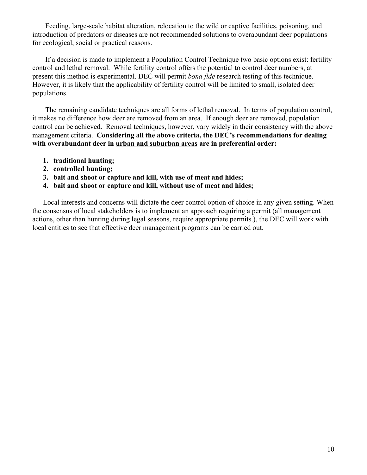Feeding, large-scale habitat alteration, relocation to the wild or captive facilities, poisoning, and introduction of predators or diseases are not recommended solutions to overabundant deer populations for ecological, social or practical reasons.

If a decision is made to implement a Population Control Technique two basic options exist: fertility control and lethal removal. While fertility control offers the potential to control deer numbers, at present this method is experimental. DEC will permit *bona fide* research testing of this technique. However, it is likely that the applicability of fertility control will be limited to small, isolated deer populations.

The remaining candidate techniques are all forms of lethal removal. In terms of population control, it makes no difference how deer are removed from an area. If enough deer are removed, population control can be achieved. Removal techniques, however, vary widely in their consistency with the above management criteria. **Considering all the above criteria, the DEC's recommendations for dealing with overabundant deer in urban and suburban areas are in preferential order:**

- **1. traditional hunting;**
- **2. controlled hunting;**
- **3. bait and shoot or capture and kill, with use of meat and hides;**
- **4. bait and shoot or capture and kill, without use of meat and hides;**

Local interests and concerns will dictate the deer control option of choice in any given setting. When the consensus of local stakeholders is to implement an approach requiring a permit (all management actions, other than hunting during legal seasons, require appropriate permits.), the DEC will work with local entities to see that effective deer management programs can be carried out.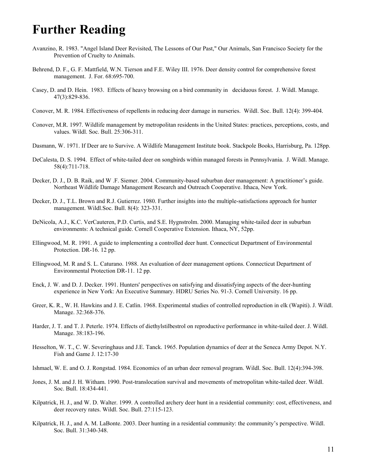## **Further Reading**

- Avanzino, R. 1983. "Angel Island Deer Revisited, The Lessons of Our Past," Our Animals, San Francisco Society for the Prevention of Cruelty to Animals.
- Behrend, D. F., G. F. Mattfield, W.N. Tierson and F.E. Wiley III. 1976. Deer density control for comprehensive forest management. J. For. 68:695-700.
- Casey, D. and D. Hein. 1983. Effects of heavy browsing on a bird community in deciduous forest. J. Wildl. Manage. 47(3):829-836.
- Conover, M. R. 1984. Effectiveness of repellents in reducing deer damage in nurseries. Wildl. Soc. Bull. 12(4): 399-404.
- Conover, M.R. 1997. Wildlife management by metropolitan residents in the United States: practices, perceptions, costs, and values. Wildl. Soc. Bull. 25:306-311.
- Dasmann, W. 1971. If Deer are to Survive. A Wildlife Management Institute book. Stackpole Books, Harrisburg, Pa. 128pp.
- DeCalesta, D. S. 1994. Effect of white-tailed deer on songbirds within managed forests in Pennsylvania. J. Wildl. Manage. 58(4):711-718.
- Decker, D. J., D. B. Raik, and W .F. Siemer. 2004. Community-based suburban deer management: A practitioner's guide. Northeast Wildlife Damage Management Research and Outreach Cooperative. Ithaca, New York.
- Decker, D. J., T.L. Brown and R.J. Gutierrez. 1980. Further insights into the multiple-satisfactions approach for hunter management. Wildl.Soc. Bull. 8(4): 323-331.
- DeNicola, A.J., K.C. VerCauteren, P.D. Curtis, and S.E. Hygnstrolm. 2000. Managing white-tailed deer in suburban environments: A technical guide. Cornell Cooperative Extension. Ithaca, NY, 52pp.
- Ellingwood, M. R. 1991. A guide to implementing a controlled deer hunt. Connecticut Department of Environmental Protection. DR-16. 12 pp.
- Ellingwood, M. R and S. L. Caturano. 1988. An evaluation of deer management options. Connecticut Department of Environmental Protection DR-11. 12 pp.
- Enck, J. W. and D. J. Decker. 1991. Hunters' perspectives on satisfying and dissatisfying aspects of the deer-hunting experience in New York: An Executive Summary. HDRU Series No. 91-3. Cornell University. 16 pp.
- Greer, K. R., W. H. Hawkins and J. E. Catlin. 1968. Experimental studies of controlled reproduction in elk (Wapiti). J. Wildl. Manage. 32:368-376.
- Harder, J. T. and T. J. Peterle. 1974. Effects of diethylstilbestrol on reproductive performance in white-tailed deer. J. Wildl. Manage. 38:183-196.
- Hesselton, W. T., C. W. Severinghaus and J.E. Tanck. 1965. Population dynamics of deer at the Seneca Army Depot. N.Y. Fish and Game J. 12:17-30
- Ishmael, W. E. and O. J. Rongstad. 1984. Economics of an urban deer removal program. Wildl. Soc. Bull. 12(4):394-398.
- Jones, J. M. and J. H. Witham. 1990. Post-translocation survival and movements of metropolitan white-tailed deer. Wildl. Soc. Bull. 18:434-441.
- Kilpatrick, H. J., and W. D. Walter. 1999. A controlled archery deer hunt in a residential community: cost, effectiveness, and deer recovery rates. Wildl. Soc. Bull. 27:115-123.
- Kilpatrick, H. J., and A. M. LaBonte. 2003. Deer hunting in a residential community: the community's perspective. Wildl. Soc. Bull. 31:340-348.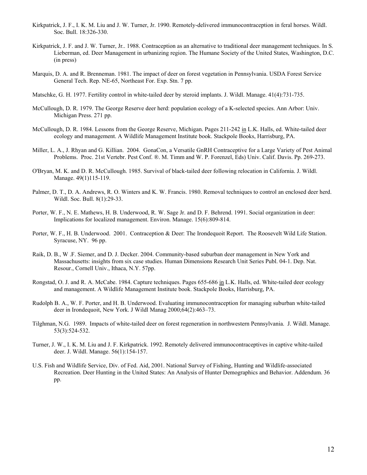- Kirkpatrick, J. F., I. K. M. Liu and J. W. Turner, Jr. 1990. Remotely-delivered immunocontraception in feral horses. Wildl. Soc. Bull. 18:326-330.
- Kirkpatrick, J. F. and J. W. Turner, Jr.. 1988. Contraception as an alternative to traditional deer management techniques. In S. Lieberman, ed. Deer Management in urbanizing region. The Humane Society of the United States, Washington, D.C. (in press)
- Marquis, D. A. and R. Brenneman. 1981. The impact of deer on forest vegetation in Pennsylvania. USDA Forest Service General Tech. Rep. NE-65, Northeast For. Exp. Stn. 7 pp.
- Matschke, G. H. 1977. Fertility control in white-tailed deer by steroid implants. J. Wildl. Manage. 41(4):731-735.
- McCullough, D. R. 1979. The George Reserve deer herd: population ecology of a K-selected species. Ann Arbor: Univ. Michigan Press. 271 pp.
- McCullough, D. R. 1984. Lessons from the George Reserve, Michigan. Pages 211-242 in L.K. Halls, ed. White-tailed deer ecology and management. A Wildlife Management Institute book. Stackpole Books, Harrisburg, PA.
- Miller, L. A., J. Rhyan and G. Killian. 2004. GonaCon, a Versatile GnRH Contraceptive for a Large Variety of Pest Animal Problems. Proc. 21st Vertebr. Pest Conf. ®. M. Timm and W. P. Forenzel, Eds) Univ. Calif. Davis. Pp. 269-273.
- O'Bryan, M. K. and D. R. McCullough. 1985. Survival of black-tailed deer following relocation in California. J. Wildl. Manage. 49(1)115-119.
- Palmer, D. T., D. A. Andrews, R. O. Winters and K. W. Francis. 1980. Removal techniques to control an enclosed deer herd. Wildl. Soc. Bull. 8(1):29-33.
- Porter, W. F., N. E. Mathews, H. B. Underwood, R. W. Sage Jr. and D. F. Behrend. 1991. Social organization in deer: Implications for localized management. Environ. Manage. 15(6):809-814.
- Porter, W. F., H. B. Underwood. 2001. Contraception & Deer: The Irondequoit Report. The Roosevelt Wild Life Station. Syracuse, NY. 96 pp.
- Raik, D. B., W .F. Siemer, and D. J. Decker. 2004. Community-based suburban deer management in New York and Massachusetts: insights from six case studies. Human Dimensions Research Unit Series Publ. 04-1. Dep. Nat. Resour., Cornell Univ., Ithaca, N.Y. 57pp.
- Rongstad, O. J. and R. A. McCabe. 1984. Capture techniques. Pages 655-686 in L.K. Halls, ed. White-tailed deer ecology and management. A Wildlife Management Institute book. Stackpole Books, Harrisburg, PA.
- Rudolph B. A., W. F. Porter, and H. B. Underwood. Evaluating immunocontraception for managing suburban white-tailed deer in Irondequoit, New York. J Wildl Manag 2000;64(2):463–73.
- Tilghman, N.G. 1989. Impacts of white-tailed deer on forest regeneration in northwestern Pennsylvania. J. Wildl. Manage. 53(3):524-532.
- Turner, J. W., I. K. M. Liu and J. F. Kirkpatrick. 1992. Remotely delivered immunocontraceptives in captive white-tailed deer. J. Wildl. Manage. 56(1):154-157.
- U.S. Fish and Wildlife Service, Div. of Fed. Aid, 2001. National Survey of Fishing, Hunting and Wildlife-associated Recreation. Deer Hunting in the United States: An Analysis of Hunter Demographics and Behavior. Addendum. 36 pp.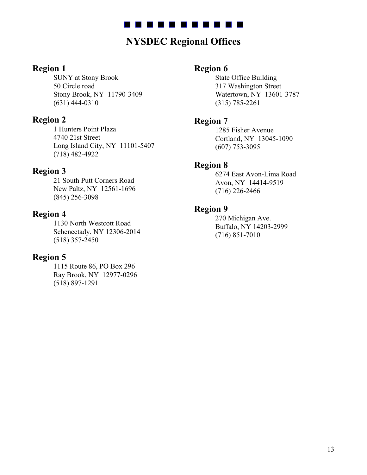

## **NYSDEC Regional Offices**

## **Region 1**

SUNY at Stony Brook 50 Circle road Stony Brook, NY 11790-3409 (631) 444-0310

## **Region 2**

1 Hunters Point Plaza 4740 21st Street Long Island City, NY 11101-5407 (718) 482-4922

## **Region 3**

21 South Putt Corners Road New Paltz, NY 12561-1696 (845) 256-3098

## **Region 4**

1130 North Westcott Road Schenectady, NY 12306-2014 (518) 357-2450

## **Region 5**

1115 Route 86, PO Box 296 Ray Brook, NY 12977-0296 (518) 897-1291

## **Region 6**

State Office Building 317 Washington Street Watertown, NY 13601-3787 (315) 785-2261

## **Region 7**

1285 Fisher Avenue Cortland, NY 13045-1090 (607) 753-3095

### **Region 8**

6274 East Avon-Lima Road Avon, NY 14414-9519 (716) 226-2466

## **Region 9**

270 Michigan Ave. Buffalo, NY 14203-2999 (716) 851-7010